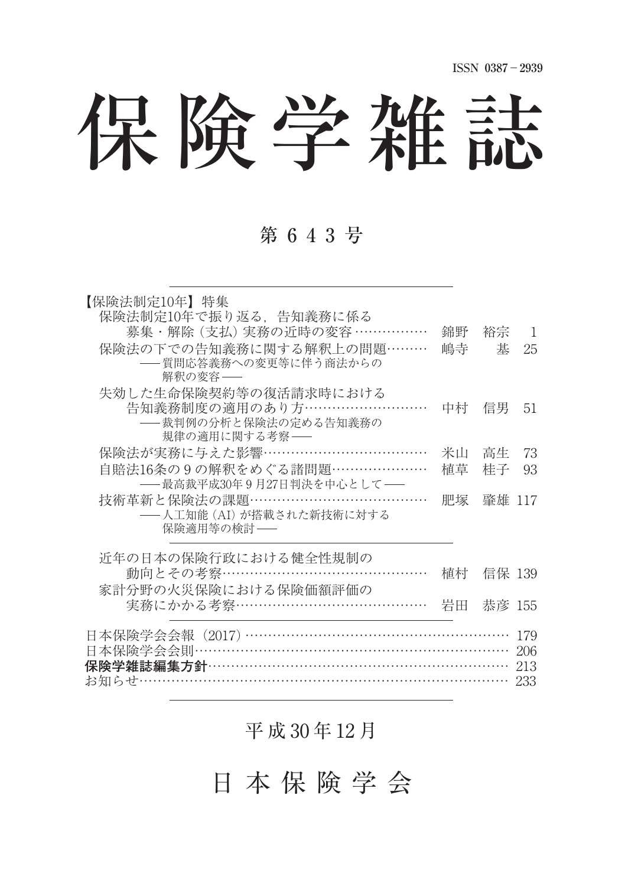# 保険学雑誌

#### 第 6 4 3 号

| 【保険法制定10年】 特集<br>保険法制定10年で振り返る、告知義務に係る<br>募集・解除 (支払) 実務の近時の変容 ……………<br>保険法の下での告知義務に関する解釈上の問題………<br>-- 質問応答義務への変更等に伴う商法からの<br>解釈の変容–– | 錦野<br>嶋寺 | 裕宗<br>棊 | -1<br>25                 |
|--------------------------------------------------------------------------------------------------------------------------------------|----------|---------|--------------------------|
| 失効した生命保険契約等の復活請求時における<br>告知義務制度の適用のあり方………………………<br>――裁判例の分析と保険法の定める告知義務の<br>規律の適用に関する考察––                                            | 中村一      | 信男      | 51                       |
| 保険法が実務に与えた影響………………………………                                                                                                             | 米山       | 高生      | 73                       |
| 自賠法16条の9の解釈をめぐる諸問題…………………<br>──最高裁平成30年9月27日判決を中心として──                                                                               | 植草       | 桂子      | 93                       |
| 技術革新と保険法の課題 …………………………………<br>――人工知能 (AI) が搭載された新技術に対する<br>保険適用等の検討 ――                                                                | 肥塚       | 肇雄 117  |                          |
| 近年の日本の保険行政における健全性規制の                                                                                                                 |          |         |                          |
| 動向とその考察………………………………………                                                                                                               | 植村       | 信保 139  |                          |
| 家計分野の火災保険における保険価額評価の<br>実務にかかる考察…………………………………                                                                                        | 岩田       | 恭彦 155  |                          |
| 日本保険学会会報(2017)…………………………………………………<br>日本保険学会会則…………………………………………………………                                                                  |          |         | 179<br>206<br>213<br>233 |

平 成 30 年 12 月

日 本 保 険 学 会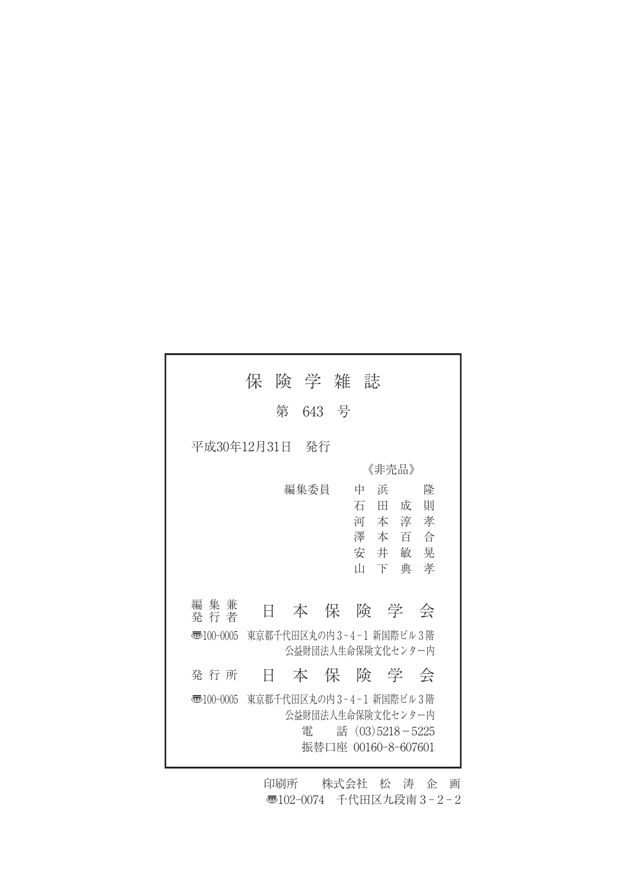|                                                                        | 保                       |         | 険 学 雑 誌                                  |                                        |             |  |
|------------------------------------------------------------------------|-------------------------|---------|------------------------------------------|----------------------------------------|-------------|--|
|                                                                        |                         | 第 643 号 |                                          |                                        |             |  |
| 平成30年12月31日<br>- 発行                                                    |                         |         |                                          |                                        |             |  |
|                                                                        |                         |         |                                          | 《非壳品》                                  |             |  |
|                                                                        |                         | 編集委員    | 中<br>īН                                  | 浜<br>石田成<br>河本淳孝<br>澤本百合<br>安井敏晃<br>下典 | 降<br>則<br>孝 |  |
|                                                                        |                         |         |                                          |                                        |             |  |
| 編 集 兼<br>発 行 者                                                         | Ħ                       |         | 本保険学会                                    |                                        |             |  |
| 東京都千代田区丸の内3-4-1 新国際ビル3階<br>$\overline{3}100-0005$<br>公益財団法人生命保険文化センター内 |                         |         |                                          |                                        |             |  |
| 発 行 所                                                                  | Ħ                       |         | 本保険学会                                    |                                        |             |  |
| 壺100-0005                                                              | 東京都千代田区丸の内3-4-1 新国際ビル3階 | 雷       | 公益財団法人生命保険文化センター内<br>振替口座 00160-8-607601 | 話 (03)5218-5225                        |             |  |

印刷所 株式会社 松 涛 企 画 〠102-0074 千代田区九段南 3 - 2 - 2